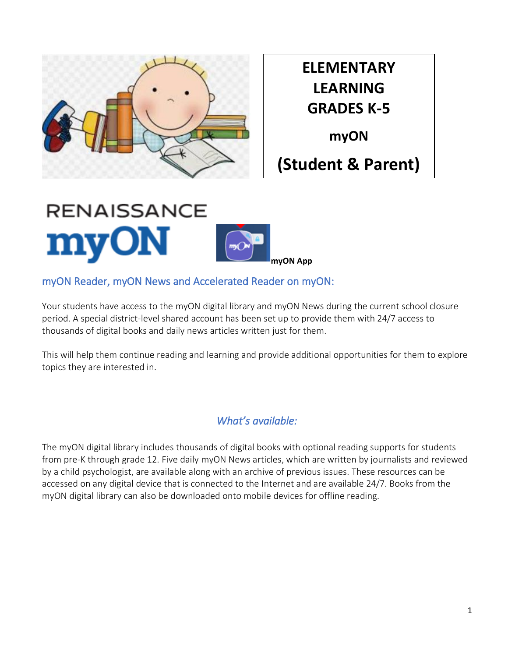

**ELEMENTARY LEARNING GRADES K-5**

**myON**

# **(Student & Parent)**



### myON Reader, myON News and Accelerated Reader on myON:

Your students have access to the myON digital library and myON News during the current school closure period. A special district-level shared account has been set up to provide them with 24/7 access to thousands of digital books and daily news articles written just for them.

This will help them continue reading and learning and provide additional opportunities for them to explore topics they are interested in.

## *What's available:*

The myON digital library includes thousands of digital books with optional reading supports for students from pre-K through grade 12. Five daily myON News articles, which are written by journalists and reviewed by a child psychologist, are available along with an archive of previous issues. These resources can be accessed on any digital device that is connected to the Internet and are available 24/7. Books from the myON digital library can also be downloaded onto mobile devices for offline reading.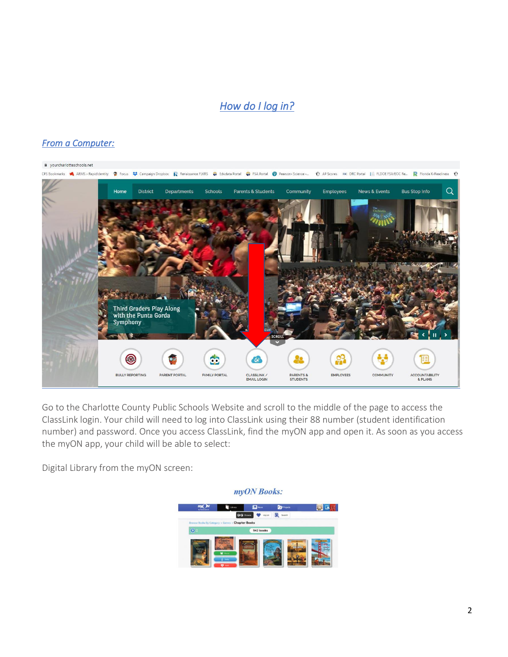## *How do I log in?*

#### *From a Computer:*



Go to the Charlotte County Public Schools Website and scroll to the middle of the page to access the ClassLink login. Your child will need to log into ClassLink using their 88 number (student identification number) and password. Once you access ClassLink, find the myON app and open it. As soon as you access the myON app, your child will be able to select:

Digital Library from the myON screen:

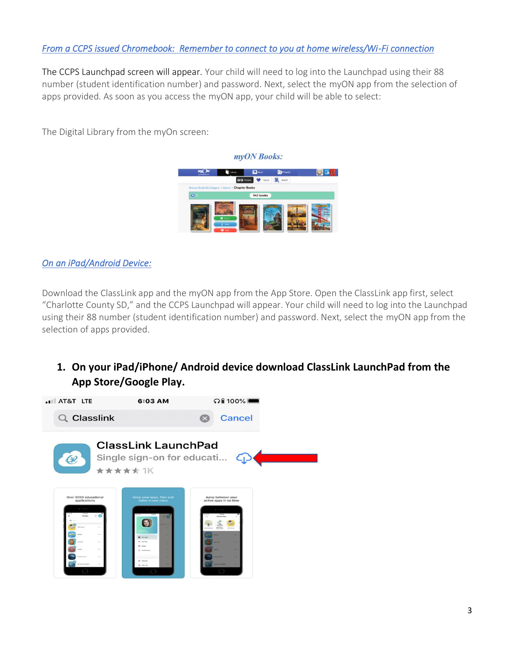#### *From a CCPS issued Chromebook: Remember to connect to you at home wireless/Wi-Fi connection*

The CCPS Launchpad screen will appear. Your child will need to log into the Launchpad using their 88 number (student identification number) and password. Next, select the myON app from the selection of apps provided. As soon as you access the myON app, your child will be able to select:

The Digital Library from the myOn screen:



*On an iPad/Android Device:* 

Download the ClassLink app and the myON app from the App Store. Open the ClassLink app first, select "Charlotte County SD," and the CCPS Launchpad will appear. Your child will need to log into the Launchpad using their 88 number (student identification number) and password. Next, select the myON app from the selection of apps provided.

**1. On your iPad/iPhone/ Android device download ClassLink LaunchPad from the App Store/Google Play.**

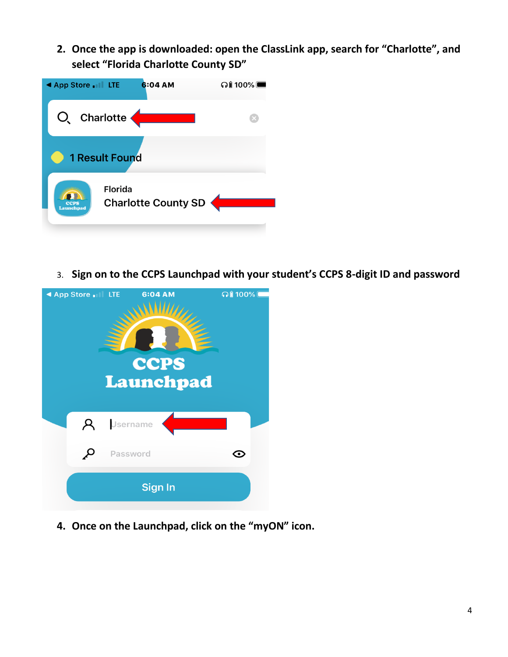**2. Once the app is downloaded: open the ClassLink app, search for "Charlotte", and select "Florida Charlotte County SD"**



3. **Sign on to the CCPS Launchpad with your student's CCPS 8-digit ID and password**



**4. Once on the Launchpad, click on the "myON" icon.**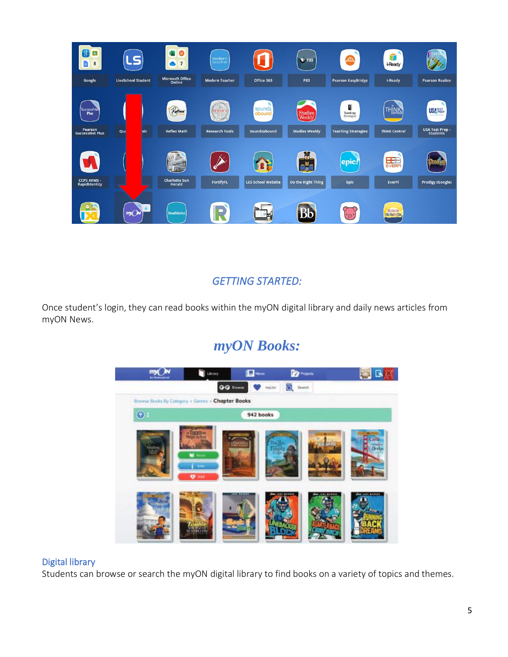

## *GETTING STARTED:*

Once student's login, they can read books within the myON digital library and daily news articles from myON News.

# *myON Books:*



#### Digital library

Students can browse or search the myON digital library to find books on a variety of topics and themes.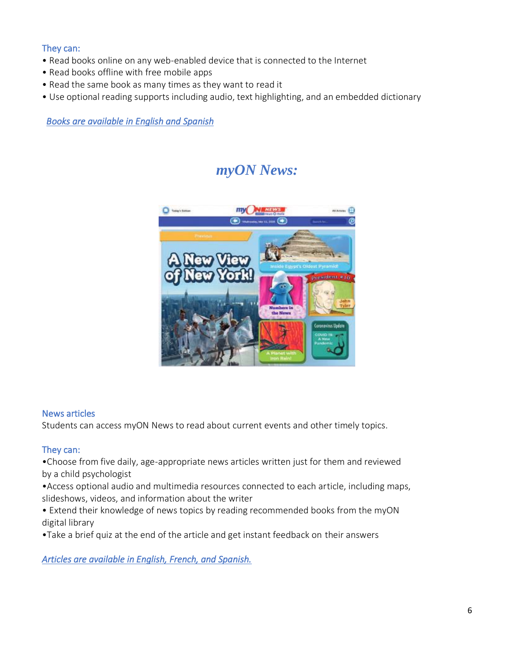#### They can:

- Read books online on any web-enabled device that is connected to the Internet
- Read books offline with free mobile apps
- Read the same book as many times as they want to read it
- Use optional reading supports including audio, text highlighting, and an embedded dictionary

*Books are available in English and Spanish*

# *myON News:*



#### News articles

Students can access myON News to read about current events and other timely topics.

#### They can:

•Choose from five daily, age-appropriate news articles written just for them and reviewed by a child psychologist

•Access optional audio and multimedia resources connected to each article, including maps, slideshows, videos, and information about the writer

• Extend their knowledge of news topics by reading recommended books from the myON digital library

•Take a brief quiz at the end of the article and get instant feedback on their answers

*Articles are available in English, French, and Spanish.*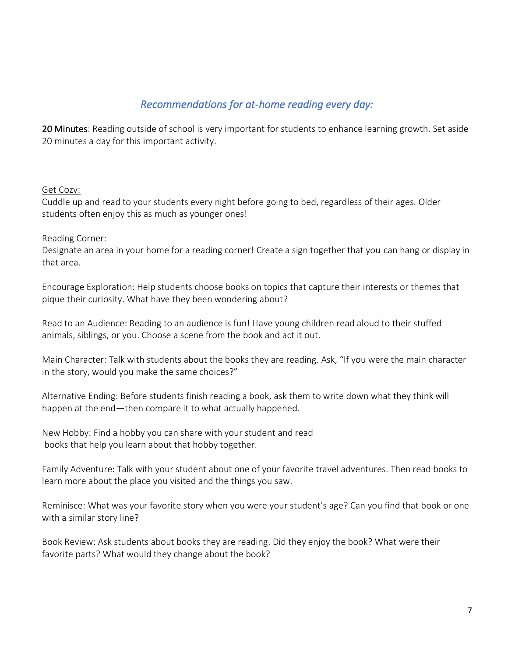### *Recommendations for at-home reading every day:*

20 Minutes: Reading outside of school is very important for students to enhance learning growth. Set aside 20 minutes a day for this important activity.

#### Get Cozy:

Cuddle up and read to your students every night before going to bed, regardless of their ages. Older students often enjoy this as much as younger ones!

#### Reading Corner:

Designate an area in your home for a reading corner! Create a sign together that you can hang or display in that area.

Encourage Exploration: Help students choose books on topics that capture their interests or themes that pique their curiosity. What have they been wondering about?

Read to an Audience: Reading to an audience is fun! Have young children read aloud to their stuffed animals, siblings, or you. Choose a scene from the book and act it out.

Main Character: Talk with students about the books they are reading. Ask, "If you were the main character in the story, would you make the same choices?"

Alternative Ending: Before students finish reading a book, ask them to write down what they think will happen at the end—then compare it to what actually happened.

New Hobby: Find a hobby you can share with your student and read books that help you learn about that hobby together.

Family Adventure: Talk with your student about one of your favorite travel adventures. Then read books to learn more about the place you visited and the things you saw.

Reminisce: What was your favorite story when you were your student's age? Can you find that book or one with a similar story line?

Book Review: Ask students about books they are reading. Did they enjoy the book? What were their favorite parts? What would they change about the book?